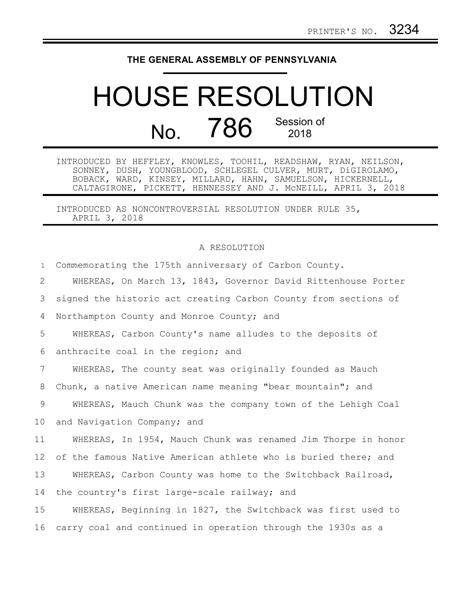## **THE GENERAL ASSEMBLY OF PENNSYLVANIA**

## HOUSE RESOLUTION No. 786 Session of 2018

INTRODUCED BY HEFFLEY, KNOWLES, TOOHIL, READSHAW, RYAN, NEILSON, SONNEY, DUSH, YOUNGBLOOD, SCHLEGEL CULVER, MURT, DiGIROLAMO, BOBACK, WARD, KINSEY, MILLARD, HAHN, SAMUELSON, HICKERNELL, CALTAGIRONE, PICKETT, HENNESSEY AND J. McNEILL, APRIL 3, 2018

INTRODUCED AS NONCONTROVERSIAL RESOLUTION UNDER RULE 35, APRIL 3, 2018

## A RESOLUTION

| $\mathbf{1}$    | Commemorating the 175th anniversary of Carbon County.           |
|-----------------|-----------------------------------------------------------------|
| 2               | WHEREAS, On March 13, 1843, Governor David Rittenhouse Porter   |
| 3               | signed the historic act creating Carbon County from sections of |
| 4               | Northampton County and Monroe County; and                       |
| 5               | WHEREAS, Carbon County's name alludes to the deposits of        |
| 6               | anthracite coal in the region; and                              |
| $7\phantom{.0}$ | WHEREAS, The county seat was originally founded as Mauch        |
| 8               | Chunk, a native American name meaning "bear mountain"; and      |
| 9               | WHEREAS, Mauch Chunk was the company town of the Lehigh Coal    |
| 10 <sub>o</sub> | and Navigation Company; and                                     |
| 11              | WHEREAS, In 1954, Mauch Chunk was renamed Jim Thorpe in honor   |
| 12              | of the famous Native American athlete who is buried there; and  |
| 13              | WHEREAS, Carbon County was home to the Switchback Railroad,     |
| 14              | the country's first large-scale railway; and                    |
| 15              | WHEREAS, Beginning in 1827, the Switchback was first used to    |
| 16              | carry coal and continued in operation through the 1930s as a    |